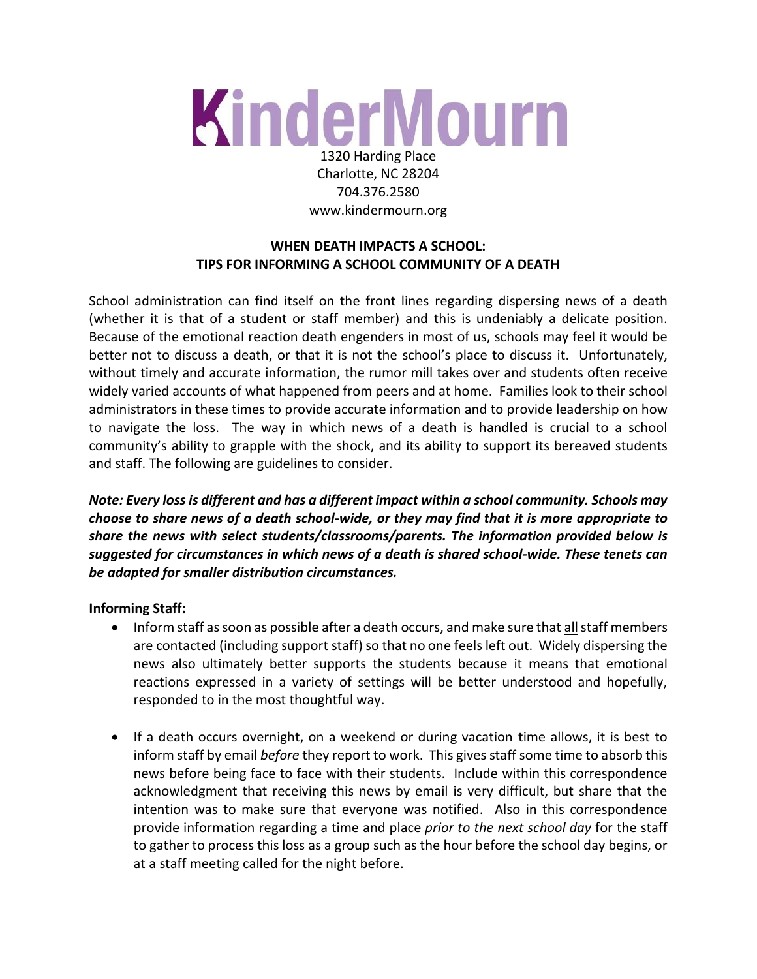# KinderMourn 1320 Harding Place

Charlotte, NC 28204 704.376.2580 www.kindermourn.org

# **WHEN DEATH IMPACTS A SCHOOL: TIPS FOR INFORMING A SCHOOL COMMUNITY OF A DEATH**

School administration can find itself on the front lines regarding dispersing news of a death (whether it is that of a student or staff member) and this is undeniably a delicate position. Because of the emotional reaction death engenders in most of us, schools may feel it would be better not to discuss a death, or that it is not the school's place to discuss it. Unfortunately, without timely and accurate information, the rumor mill takes over and students often receive widely varied accounts of what happened from peers and at home. Families look to their school administrators in these times to provide accurate information and to provide leadership on how to navigate the loss. The way in which news of a death is handled is crucial to a school community's ability to grapple with the shock, and its ability to support its bereaved students and staff. The following are guidelines to consider.

*Note: Every loss is different and has a different impact within a school community. Schools may choose to share news of a death school-wide, or they may find that it is more appropriate to share the news with select students/classrooms/parents. The information provided below is suggested for circumstances in which news of a death is shared school-wide. These tenets can be adapted for smaller distribution circumstances.* 

## **Informing Staff:**

- Inform staff as soon as possible after a death occurs, and make sure that all staff members are contacted (including support staff) so that no one feels left out. Widely dispersing the news also ultimately better supports the students because it means that emotional reactions expressed in a variety of settings will be better understood and hopefully, responded to in the most thoughtful way.
- If a death occurs overnight, on a weekend or during vacation time allows, it is best to inform staff by email *before* they report to work. This gives staff some time to absorb this news before being face to face with their students. Include within this correspondence acknowledgment that receiving this news by email is very difficult, but share that the intention was to make sure that everyone was notified. Also in this correspondence provide information regarding a time and place *prior to the next school day* for the staff to gather to process this loss as a group such as the hour before the school day begins, or at a staff meeting called for the night before.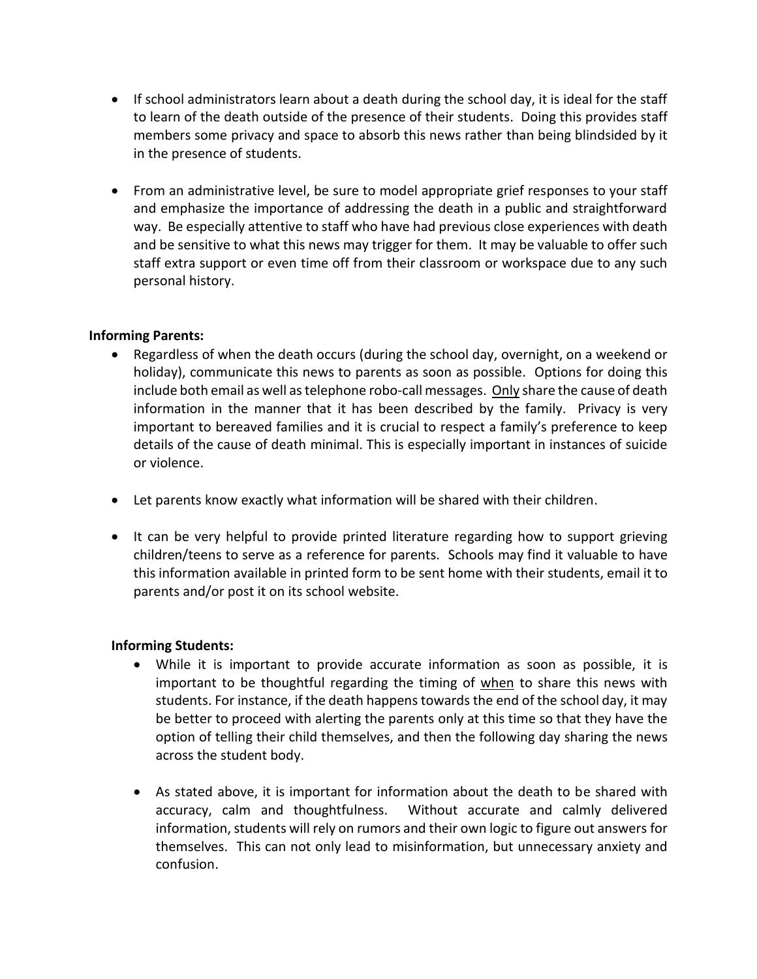- If school administrators learn about a death during the school day, it is ideal for the staff to learn of the death outside of the presence of their students. Doing this provides staff members some privacy and space to absorb this news rather than being blindsided by it in the presence of students.
- From an administrative level, be sure to model appropriate grief responses to your staff and emphasize the importance of addressing the death in a public and straightforward way. Be especially attentive to staff who have had previous close experiences with death and be sensitive to what this news may trigger for them. It may be valuable to offer such staff extra support or even time off from their classroom or workspace due to any such personal history.

#### **Informing Parents:**

- Regardless of when the death occurs (during the school day, overnight, on a weekend or holiday), communicate this news to parents as soon as possible. Options for doing this include both email as well as telephone robo-call messages. Only share the cause of death information in the manner that it has been described by the family. Privacy is very important to bereaved families and it is crucial to respect a family's preference to keep details of the cause of death minimal. This is especially important in instances of suicide or violence.
- Let parents know exactly what information will be shared with their children.
- It can be very helpful to provide printed literature regarding how to support grieving children/teens to serve as a reference for parents. Schools may find it valuable to have this information available in printed form to be sent home with their students, email it to parents and/or post it on its school website.

#### **Informing Students:**

- While it is important to provide accurate information as soon as possible, it is important to be thoughtful regarding the timing of when to share this news with students. For instance, if the death happens towards the end of the school day, it may be better to proceed with alerting the parents only at this time so that they have the option of telling their child themselves, and then the following day sharing the news across the student body.
- As stated above, it is important for information about the death to be shared with accuracy, calm and thoughtfulness. Without accurate and calmly delivered information, students will rely on rumors and their own logic to figure out answers for themselves. This can not only lead to misinformation, but unnecessary anxiety and confusion.